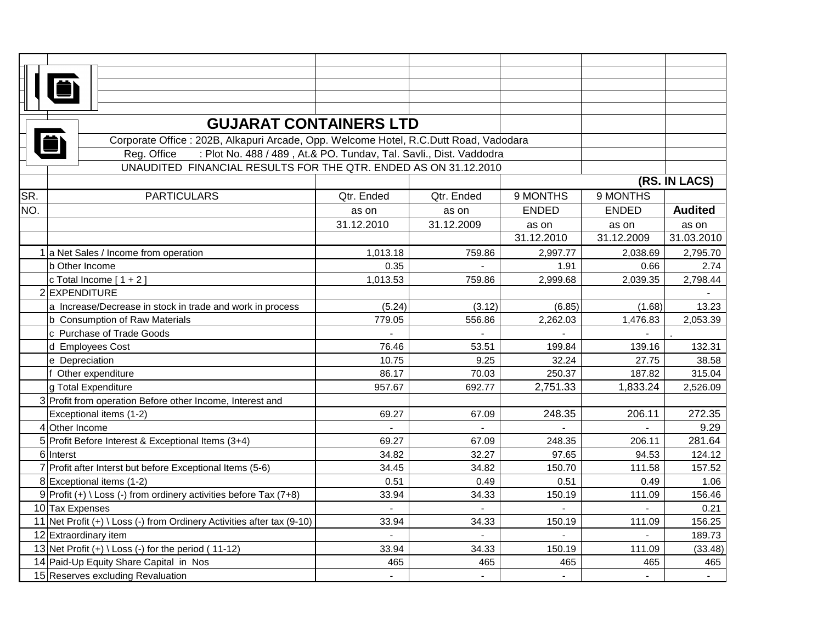|     | <b>GUJARAT CONTAINERS LTD</b>                                                         |                |                |                |                |                |  |  |
|-----|---------------------------------------------------------------------------------------|----------------|----------------|----------------|----------------|----------------|--|--|
|     | Corporate Office : 202B, Alkapuri Arcade, Opp. Welcome Hotel, R.C.Dutt Road, Vadodara |                |                |                |                |                |  |  |
|     | : Plot No. 488 / 489, At.& PO. Tundav, Tal. Savli., Dist. Vaddodra<br>Reg. Office     |                |                |                |                |                |  |  |
|     | UNAUDITED FINANCIAL RESULTS FOR THE QTR. ENDED AS ON 31.12.2010                       |                |                |                |                |                |  |  |
|     |                                                                                       |                |                |                |                | (RS. IN LACS)  |  |  |
| SR. | <b>PARTICULARS</b>                                                                    | Qtr. Ended     | Qtr. Ended     | 9 MONTHS       | 9 MONTHS       |                |  |  |
| NO. |                                                                                       | as on          | as on          | <b>ENDED</b>   | <b>ENDED</b>   | <b>Audited</b> |  |  |
|     |                                                                                       | 31.12.2010     | 31.12.2009     | as on          | as on          | as on          |  |  |
|     |                                                                                       |                |                | 31.12.2010     | 31.12.2009     | 31.03.2010     |  |  |
|     | 1 a Net Sales / Income from operation                                                 | 1,013.18       | 759.86         | 2,997.77       | 2,038.69       | 2,795.70       |  |  |
|     | b Other Income                                                                        | 0.35           |                | 1.91           | 0.66           | 2.74           |  |  |
|     | c Total Income $[1 + 2]$                                                              | 1,013.53       | 759.86         | 2,999.68       | 2,039.35       | 2,798.44       |  |  |
|     | 2 EXPENDITURE                                                                         |                |                |                |                |                |  |  |
|     | a Increase/Decrease in stock in trade and work in process                             | (5.24)         | (3.12)         | (6.85)         | (1.68)         | 13.23          |  |  |
|     | <b>b</b> Consumption of Raw Materials                                                 | 779.05         | 556.86         | 2,262.03       | 1,476.83       | 2,053.39       |  |  |
|     | c Purchase of Trade Goods                                                             |                |                |                |                |                |  |  |
|     | d Employees Cost                                                                      | 76.46          | 53.51          | 199.84         | 139.16         | 132.31         |  |  |
|     | e Depreciation                                                                        | 10.75          | 9.25           | 32.24          | 27.75          | 38.58          |  |  |
|     | Other expenditure                                                                     | 86.17          | 70.03          | 250.37         | 187.82         | 315.04         |  |  |
|     | g Total Expenditure                                                                   | 957.67         | 692.77         | 2,751.33       | 1,833.24       | 2,526.09       |  |  |
|     | 3 Profit from operation Before other Income, Interest and                             |                |                |                |                |                |  |  |
|     | Exceptional items (1-2)                                                               | 69.27          | 67.09          | 248.35         | 206.11         | 272.35         |  |  |
|     | 4 Other Income                                                                        | L.             | $\mathbf{r}$   |                |                | 9.29           |  |  |
|     | 5 Profit Before Interest & Exceptional Items (3+4)                                    | 69.27          | 67.09          | 248.35         | 206.11         | 281.64         |  |  |
|     | 6 Interst                                                                             | 34.82          | 32.27          | 97.65          | 94.53          | 124.12         |  |  |
|     | 7 Profit after Interst but before Exceptional Items (5-6)                             | 34.45          | 34.82          | 150.70         | 111.58         | 157.52         |  |  |
|     | 8 Exceptional items (1-2)                                                             | 0.51           | 0.49           | 0.51           | 0.49           | 1.06           |  |  |
|     | 9 Profit $(+) \setminus$ Loss $(-)$ from ordinery activities before Tax (7+8)         | 33.94          | 34.33          | 150.19         | 111.09         | 156.46         |  |  |
|     | 10 Tax Expenses                                                                       | $\blacksquare$ | $\sim$         | $\sim$         | $\overline{a}$ | 0.21           |  |  |
|     | 11 Net Profit (+) \ Loss (-) from Ordinery Activities after tax (9-10)                | 33.94          | 34.33          | 150.19         | 111.09         | 156.25         |  |  |
|     | 12 Extraordinary item                                                                 |                |                |                |                | 189.73         |  |  |
|     | 13 Net Profit $(+) \setminus$ Loss $(-)$ for the period $(11-12)$                     | 33.94          | 34.33          | 150.19         | 111.09         | (33.48)        |  |  |
|     | 14 Paid-Up Equity Share Capital in Nos                                                | 465            | 465            | 465            | 465            | 465            |  |  |
|     | 15 Reserves excluding Revaluation                                                     | $\overline{a}$ | $\blacksquare$ | $\overline{a}$ | $\sim$         |                |  |  |